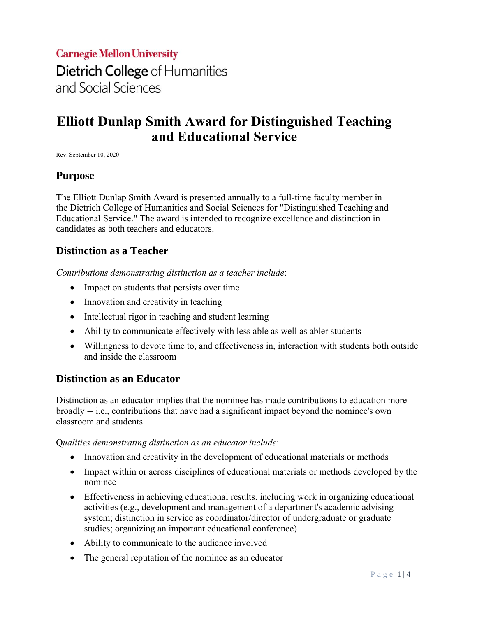# **Carnegie Mellon University** Dietrich College of Humanities and Social Sciences

## **Elliott Dunlap Smith Award for Distinguished Teaching and Educational Service**

Rev. September 10, 2020

#### **Purpose**

The Elliott Dunlap Smith Award is presented annually to a full-time faculty member in the Dietrich College of Humanities and Social Sciences for "Distinguished Teaching and Educational Service." The award is intended to recognize excellence and distinction in candidates as both teachers and educators.

#### **Distinction as a Teacher**

*Contributions demonstrating distinction as a teacher include*:

- Impact on students that persists over time
- Innovation and creativity in teaching
- Intellectual rigor in teaching and student learning
- Ability to communicate effectively with less able as well as abler students
- Willingness to devote time to, and effectiveness in, interaction with students both outside and inside the classroom

#### **Distinction as an Educator**

Distinction as an educator implies that the nominee has made contributions to education more broadly -- i.e., contributions that have had a significant impact beyond the nominee's own classroom and students.

Q*ualities demonstrating distinction as an educator include*:

- Innovation and creativity in the development of educational materials or methods
- Impact within or across disciplines of educational materials or methods developed by the nominee
- Effectiveness in achieving educational results. including work in organizing educational activities (e.g., development and management of a department's academic advising system; distinction in service as coordinator/director of undergraduate or graduate studies; organizing an important educational conference)
- Ability to communicate to the audience involved
- The general reputation of the nominee as an educator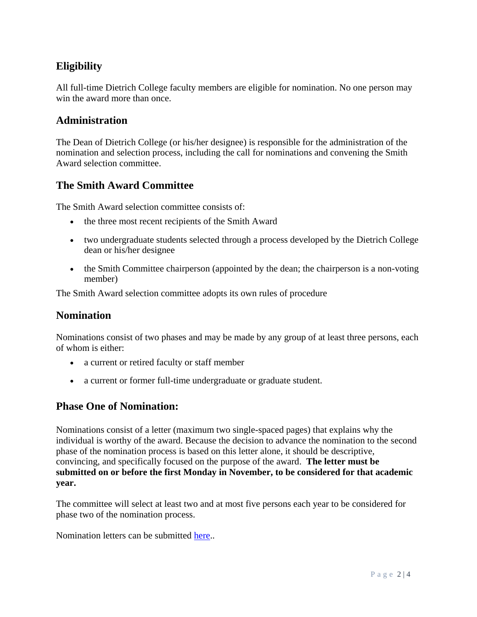## **Eligibility**

All full-time Dietrich College faculty members are eligible for nomination. No one person may win the award more than once.

#### **Administration**

The Dean of Dietrich College (or his/her designee) is responsible for the administration of the nomination and selection process, including the call for nominations and convening the Smith Award selection committee.

## **The Smith Award Committee**

The Smith Award selection committee consists of:

- the three most recent recipients of the Smith Award
- two undergraduate students selected through a process developed by the Dietrich College dean or his/her designee
- the Smith Committee chairperson (appointed by the dean; the chairperson is a non-voting member)

The Smith Award selection committee adopts its own rules of procedure

#### **Nomination**

Nominations consist of two phases and may be made by any group of at least three persons, each of whom is either:

- a current or retired faculty or staff member
- a current or former full-time undergraduate or graduate student.

#### **Phase One of Nomination:**

Nominations consist of a letter (maximum two single-spaced pages) that explains why the individual is worthy of the award. Because the decision to advance the nomination to the second phase of the nomination process is based on this letter alone, it should be descriptive, convincing, and specifically focused on the purpose of the award. **The letter must be submitted on or before the first Monday in November, to be considered for that academic year.**

The committee will select at least two and at most five persons each year to be considered for phase two of the nomination process.

Nomination letters can be submitted [here.](https://www.cmu.edu/dietrich/faculty-staff/college-awards/index.html)..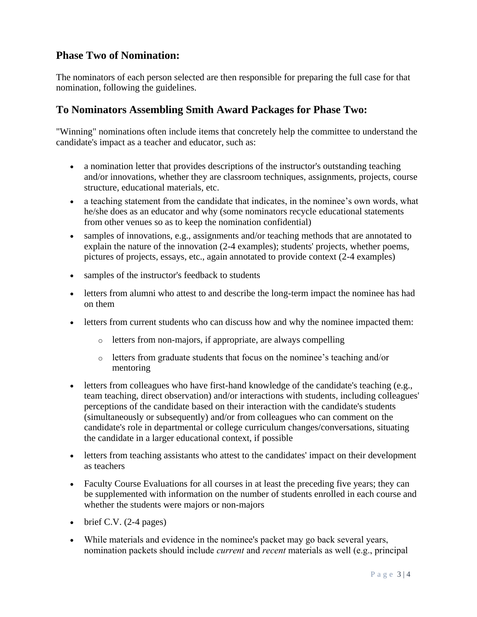## **Phase Two of Nomination:**

The nominators of each person selected are then responsible for preparing the full case for that nomination, following the guidelines.

#### **To Nominators Assembling Smith Award Packages for Phase Two:**

"Winning" nominations often include items that concretely help the committee to understand the candidate's impact as a teacher and educator, such as:

- a nomination letter that provides descriptions of the instructor's outstanding teaching and/or innovations, whether they are classroom techniques, assignments, projects, course structure, educational materials, etc.
- a teaching statement from the candidate that indicates, in the nominee's own words, what he/she does as an educator and why (some nominators recycle educational statements from other venues so as to keep the nomination confidential)
- samples of innovations, e.g., assignments and/or teaching methods that are annotated to explain the nature of the innovation (2-4 examples); students' projects, whether poems, pictures of projects, essays, etc., again annotated to provide context (2-4 examples)
- samples of the instructor's feedback to students
- letters from alumni who attest to and describe the long-term impact the nominee has had on them
- letters from current students who can discuss how and why the nominee impacted them:
	- o letters from non-majors, if appropriate, are always compelling
	- o letters from graduate students that focus on the nominee's teaching and/or mentoring
- letters from colleagues who have first-hand knowledge of the candidate's teaching (e.g., team teaching, direct observation) and/or interactions with students, including colleagues' perceptions of the candidate based on their interaction with the candidate's students (simultaneously or subsequently) and/or from colleagues who can comment on the candidate's role in departmental or college curriculum changes/conversations, situating the candidate in a larger educational context, if possible
- letters from teaching assistants who attest to the candidates' impact on their development as teachers
- Faculty Course Evaluations for all courses in at least the preceding five years; they can be supplemented with information on the number of students enrolled in each course and whether the students were majors or non-majors
- $\bullet$  brief C.V. (2-4 pages)
- While materials and evidence in the nominee's packet may go back several years, nomination packets should include *current* and *recent* materials as well (e.g., principal